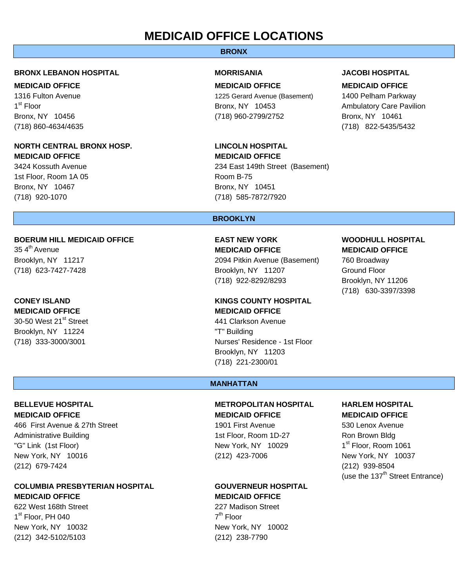# **MEDICAID OFFICE LOCATIONS**

## **BRONX**

### **BRONX LEBANON HOSPITAL MORRISANIA JACOBI HOSPITAL**

## **NORTH CENTRAL BRONX HOSP. LINCOLN HOSPITAL MEDICAID OFFICE MEDICAID OFFICE**

1st Floor, Room 1A 05 and 1990 and 1990 and 1990 and 1990 and 1990 and 1990 and 1990 and 1990 and 1990 and 19 Bronx, NY 10467 Bronx, NY 10451 (718) 920-1070 (718) 585-7872/7920

## **BOERUM HILL MEDICAID OFFICE EAST NEW YORK WOODHULL HOSPITAL**

30-50 West 21<sup>st</sup> Street **441 Clarkson Avenue** Brooklyn, NY 11224 "T" Building

466 First Avenue & 27th Street 1901 First Avenue 530 Lenox Avenue Administrative Building 1st Floor, Room 1D-27 Ron Brown Bldg "G" Link (1st Floor) **New York, NY** 10029 1st Floor, Room 1061 New York, NY 10016 (212) 423-7006 New York, NY 10037 (212) 679-7424 (212) 939-8504

## **COLUMBIA PRESBYTERIAN HOSPITAL GOUVERNEUR HOSPITAL MEDICAID OFFICE MEDICAID OFFICE**

622 West 168th Street 227 Madison Street  $1^{\text{st}}$  Floor, PH 040  $7^{\text{th}}$  Floor New York, NY 10032 New York, NY 10002 (212) 342-5102/5103 (212) 238-7790

**MEDICAID OFFICE MEDICAID OFFICE MEDICAID OFFICE**  1316 Fulton Avenue 1225 Gerard Avenue (Basement) 1400 Pelham Parkway 1<sup>st</sup> Floor **100 and 100 and 100 and 100 and 100 and 100 and 100 and 100 and 100 and 100 and 100 and 100 and 100 and 100 and 100 and 100 and 100 and 100 and 100 and 100 and 100 and 100 and 100 and 100 and 100 and 100 and 1** Bronx, NY 10456 (718) 960-2799/2752 Bronx, NY 10461

3424 Kossuth Avenue 234 East 149th Street (Basement)

(718) 860-4634/4635 (718) 822-5435/5432

### **BROOKLYN**

35 4th Avenue **MEDICAID OFFICE MEDICAID OFFICE** Brooklyn, NY 11217 2094 Pitkin Avenue (Basement) 760 Broadway (718) 623-7427-7428 Brooklyn, NY 11207 Ground Floor (718) 922-8292/8293 Brooklyn, NY 11206

## **CONEY ISLAND KINGS COUNTY HOSPITAL MEDICAID OFFICE MEDICAID OFFICE**

(718) 333-3000/3001 Nurses' Residence - 1st Floor Brooklyn, NY 11203 (718) 221-2300/01

(718) 630-3397/3398

### **MANHATTAN**

## **BELLEVUE HOSPITAL METROPOLITAN HOSPITAL HARLEM HOSPITAL MEDICAID OFFICE MEDICAID OFFICE MEDICAID OFFICE**

(use the  $137<sup>th</sup>$  Street Entrance)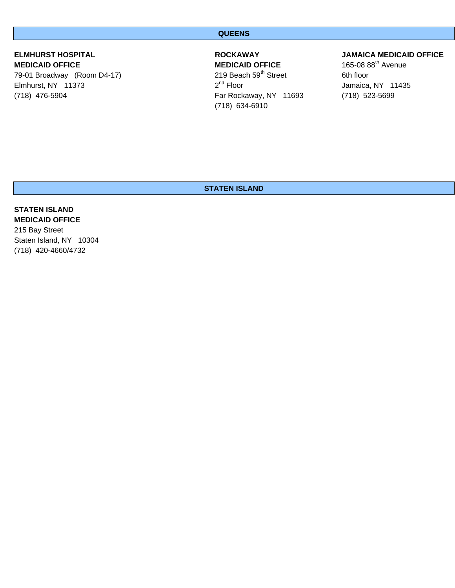### **QUEENS**

79-01 Broadway (Room D4-17) 219 Beach 59<sup>th</sup> Street 6th floor<br>Elmhurst, NY 11373 20<sup>nd</sup> Floor 2<sup>nd</sup> Floor Elmhurst, NY 11373  $2^{nd}$  Floor  $2^{nd}$  Floor Jamaica, NY 11435 (718) 476-5904 Far Rockaway, NY 11693 (718) 523-5699

**MEDICAID OFFICE** 165-08 88<sup>th</sup> Avenue<br>
79-01 Broadway (Room D4-17) 1888 19 Beach 59<sup>th</sup> Street 1994 165-08 88<sup>th</sup> Avenue (718) 634-6910

## **ELMHURST HOSPITAL ROCKAWAY JAMAICA MEDICAID OFFICE**

## **STATEN ISLAND**

## **STATEN ISLAND MEDICAID OFFICE**

215 Bay Street Staten Island, NY 10304 (718) 420-4660/4732